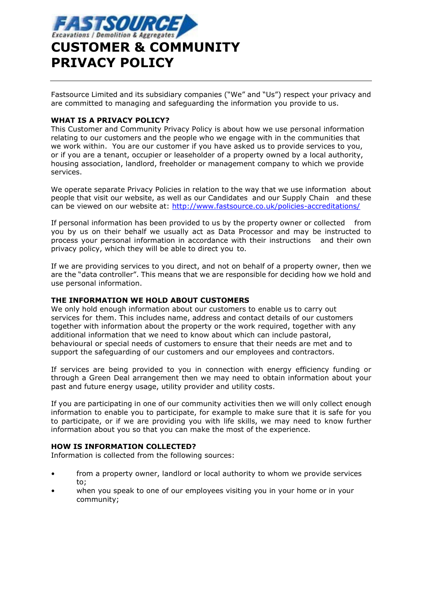

Fastsource Limited and its subsidiary companies ("We" and "Us") respect your privacy and are committed to managing and safeguarding the information you provide to us.

## **WHAT IS A PRIVACY POLICY?**

This Customer and Community Privacy Policy is about how we use personal information relating to our customers and the people who we engage with in the communities that we work within. You are our customer if you have asked us to provide services to you, or if you are a tenant, occupier or leaseholder of a property owned by a local authority, housing association, landlord, freeholder or management company to which we provide services.

We operate separate Privacy Policies in relation to the way that we use information about people that visit our website, as well as our Candidates and our Supply Chain and these can be viewed on our website at:<http://www.fastsource.co.uk/policies-accreditations/>

If personal information has been provided to us by the property owner or collected from you by us on their behalf we usually act as Data Processor and may be instructed to process your personal information in accordance with their instructions and their own privacy policy, which they will be able to direct you to.

If we are providing services to you direct, and not on behalf of a property owner, then we are the "data controller". This means that we are responsible for deciding how we hold and use personal information.

## **THE INFORMATION WE HOLD ABOUT CUSTOMERS**

We only hold enough information about our customers to enable us to carry out services for them. This includes name, address and contact details of our customers together with information about the property or the work required, together with any additional information that we need to know about which can include pastoral, behavioural or special needs of customers to ensure that their needs are met and to support the safeguarding of our customers and our employees and contractors.

If services are being provided to you in connection with energy efficiency funding or through a Green Deal arrangement then we may need to obtain information about your past and future energy usage, utility provider and utility costs.

If you are participating in one of our community activities then we will only collect enough information to enable you to participate, for example to make sure that it is safe for you to participate, or if we are providing you with life skills, we may need to know further information about you so that you can make the most of the experience.

### **HOW IS INFORMATION COLLECTED?**

Information is collected from the following sources:

- from a property owner, landlord or local authority to whom we provide services to;
- when you speak to one of our employees visiting you in your home or in your community;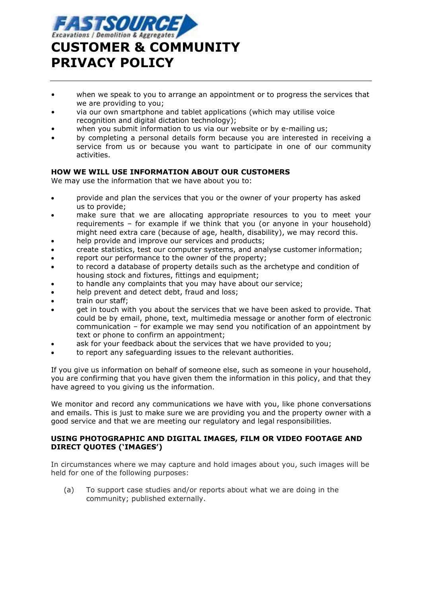

- when we speak to you to arrange an appointment or to progress the services that we are providing to you;
- via our own smartphone and tablet applications (which may utilise voice recognition and digital dictation technology);
- when you submit information to us via our website or by e-mailing us;
- by completing a personal details form because you are interested in receiving a service from us or because you want to participate in one of our community activities.

# **HOW WE WILL USE INFORMATION ABOUT OUR CUSTOMERS**

We may use the information that we have about you to:

- provide and plan the services that you or the owner of your property has asked us to provide;
- make sure that we are allocating appropriate resources to you to meet your requirements – for example if we think that you (or anyone in your household) might need extra care (because of age, health, disability), we may record this.
- help provide and improve our services and products;
- create statistics, test our computer systems, and analyse customer information;
- report our performance to the owner of the property;
- to record a database of property details such as the archetype and condition of housing stock and fixtures, fittings and equipment;
- to handle any complaints that you may have about our service;
- help prevent and detect debt, fraud and loss;
- train our staff;
- get in touch with you about the services that we have been asked to provide. That could be by email, phone, text, multimedia message or another form of electronic communication – for example we may send you notification of an appointment by text or phone to confirm an appointment;
- ask for your feedback about the services that we have provided to you;
- to report any safeguarding issues to the relevant authorities.

If you give us information on behalf of someone else, such as someone in your household, you are confirming that you have given them the information in this policy, and that they have agreed to you giving us the information.

We monitor and record any communications we have with you, like phone conversations and emails. This is just to make sure we are providing you and the property owner with a good service and that we are meeting our regulatory and legal responsibilities.

# **USING PHOTOGRAPHIC AND DIGITAL IMAGES, FILM OR VIDEO FOOTAGE AND DIRECT QUOTES ('IMAGES')**

In circumstances where we may capture and hold images about you, such images will be held for one of the following purposes:

(a) To support case studies and/or reports about what we are doing in the community; published externally.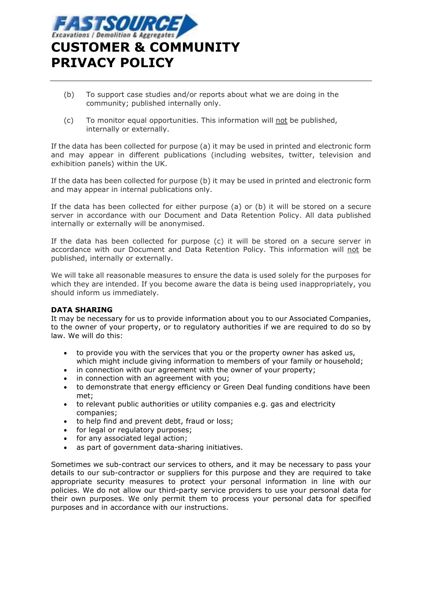

- (b) To support case studies and/or reports about what we are doing in the community; published internally only.
- (c) To monitor equal opportunities. This information will not be published, internally or externally.

If the data has been collected for purpose (a) it may be used in printed and electronic form and may appear in different publications (including websites, twitter, television and exhibition panels) within the UK.

If the data has been collected for purpose (b) it may be used in printed and electronic form and may appear in internal publications only.

If the data has been collected for either purpose (a) or (b) it will be stored on a secure server in accordance with our Document and Data Retention Policy. All data published internally or externally will be anonymised.

If the data has been collected for purpose (c) it will be stored on a secure server in accordance with our Document and Data Retention Policy. This information will not be published, internally or externally.

We will take all reasonable measures to ensure the data is used solely for the purposes for which they are intended. If you become aware the data is being used inappropriately, you should inform us immediately.

### **DATA SHARING**

It may be necessary for us to provide information about you to our Associated Companies, to the owner of your property, or to regulatory authorities if we are required to do so by law. We will do this:

- to provide you with the services that you or the property owner has asked us, which might include giving information to members of your family or household;
- in connection with our agreement with the owner of your property;
- in connection with an agreement with you;
- to demonstrate that energy efficiency or Green Deal funding conditions have been met;
- to relevant public authorities or utility companies e.g. gas and electricity companies;
- to help find and prevent debt, fraud or loss;
- for legal or regulatory purposes;
- for any associated legal action;
- as part of government data-sharing initiatives.

Sometimes we sub-contract our services to others, and it may be necessary to pass your details to our sub-contractor or suppliers for this purpose and they are required to take appropriate security measures to protect your personal information in line with our policies. We do not allow our third-party service providers to use your personal data for their own purposes. We only permit them to process your personal data for specified purposes and in accordance with our instructions.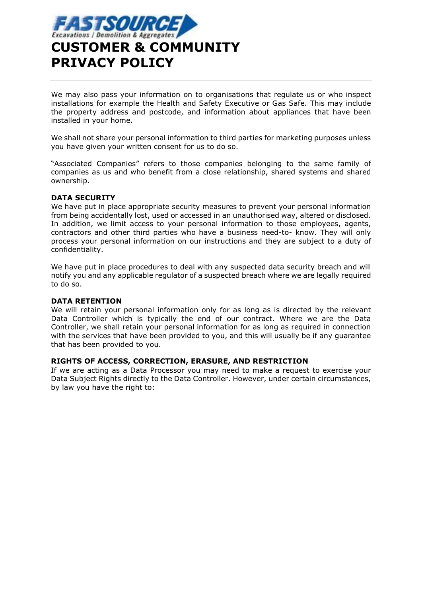

We may also pass your information on to organisations that regulate us or who inspect installations for example the Health and Safety Executive or Gas Safe. This may include the property address and postcode, and information about appliances that have been installed in your home.

We shall not share your personal information to third parties for marketing purposes unless you have given your written consent for us to do so.

"Associated Companies" refers to those companies belonging to the same family of companies as us and who benefit from a close relationship, shared systems and shared ownership.

#### **DATA SECURITY**

We have put in place appropriate security measures to prevent your personal information from being accidentally lost, used or accessed in an unauthorised way, altered or disclosed. In addition, we limit access to your personal information to those employees, agents, contractors and other third parties who have a business need-to- know. They will only process your personal information on our instructions and they are subject to a duty of confidentiality.

We have put in place procedures to deal with any suspected data security breach and will notify you and any applicable regulator of a suspected breach where we are legally required to do so.

### **DATA RETENTION**

We will retain your personal information only for as long as is directed by the relevant Data Controller which is typically the end of our contract. Where we are the Data Controller, we shall retain your personal information for as long as required in connection with the services that have been provided to you, and this will usually be if any guarantee that has been provided to you.

## **RIGHTS OF ACCESS, CORRECTION, ERASURE, AND RESTRICTION**

If we are acting as a Data Processor you may need to make a request to exercise your Data Subject Rights directly to the Data Controller. However, under certain circumstances, by law you have the right to: